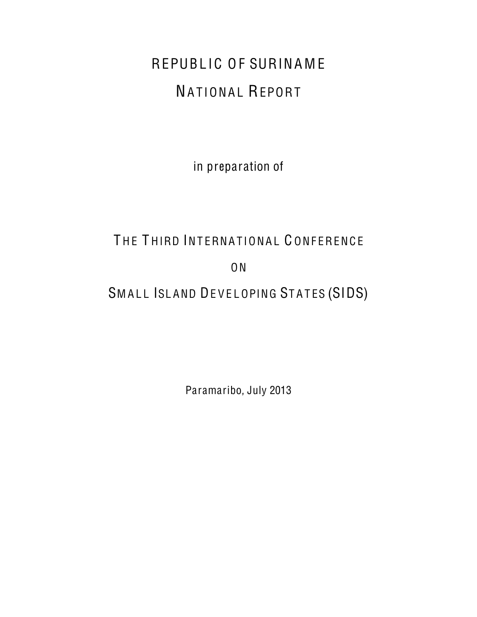# REPUBLIC OF SURINAME NATIONAL REPORT

in preparation of

# THE THIRD INTERNATIONAL CONFERENCE

ON

# SMALL ISLAND DEVELOPING STATES (SIDS)

Paramaribo, July 2013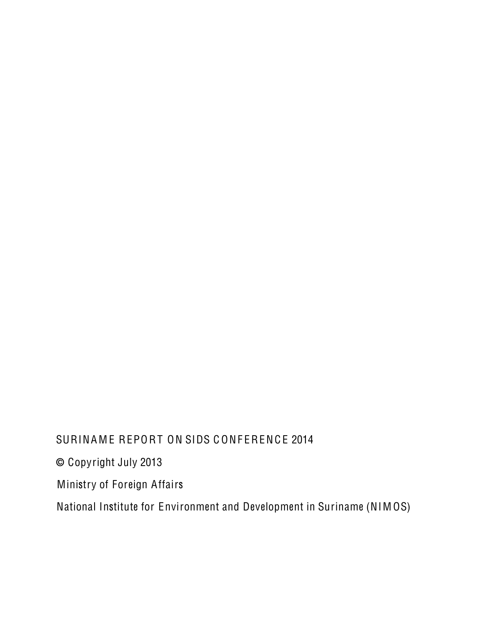# SURINAME REPORT ON SIDS CONFERENCE 2014 © Copyright July 2013 Ministry of Foreign Affairs National Institute for Environment and Development in Suriname (NIMOS)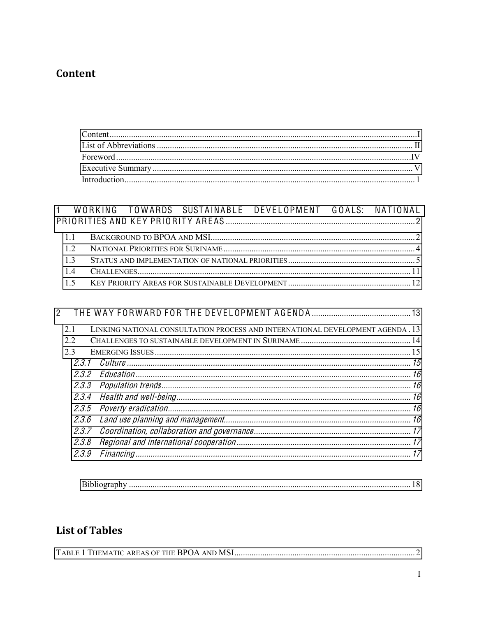# <span id="page-2-0"></span>Content

#### 1 WORKING TOWARDS SUSTAINABLE DEVELOPMENT GOALS: NATIONAL PRIORITIES AND KEY PRIORITY AREAS...  $\mathfrak{D}$

| 2     |                                                                                |  |
|-------|--------------------------------------------------------------------------------|--|
| 21    | LINKING NATIONAL CONSULTATION PROCESS AND INTERNATIONAL DEVELOPMENT AGENDA. 13 |  |
| 2.2   |                                                                                |  |
| 23    |                                                                                |  |
|       |                                                                                |  |
|       |                                                                                |  |
|       |                                                                                |  |
|       |                                                                                |  |
|       |                                                                                |  |
|       |                                                                                |  |
|       |                                                                                |  |
|       |                                                                                |  |
| 2.3.9 |                                                                                |  |

| Bibliography |
|--------------|
|--------------|

# **List of Tables**

|--|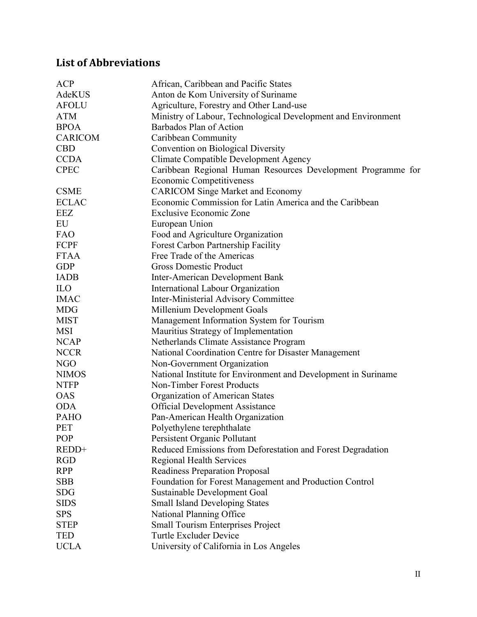# <span id="page-3-0"></span>**List of Abbreviations**

| <b>ACP</b><br>African, Caribbean and Pacific States                            |                                                               |  |  |
|--------------------------------------------------------------------------------|---------------------------------------------------------------|--|--|
| AdeKUS<br>Anton de Kom University of Suriname                                  |                                                               |  |  |
| <b>AFOLU</b><br>Agriculture, Forestry and Other Land-use                       |                                                               |  |  |
| <b>ATM</b>                                                                     | Ministry of Labour, Technological Development and Environment |  |  |
| <b>BPOA</b><br>Barbados Plan of Action                                         |                                                               |  |  |
| <b>CARICOM</b><br>Caribbean Community                                          |                                                               |  |  |
| <b>CBD</b><br>Convention on Biological Diversity                               |                                                               |  |  |
| <b>CCDA</b><br><b>Climate Compatible Development Agency</b>                    |                                                               |  |  |
| <b>CPEC</b>                                                                    | Caribbean Regional Human Resources Development Programme for  |  |  |
| <b>Economic Competitiveness</b>                                                |                                                               |  |  |
| <b>CSME</b><br><b>CARICOM Singe Market and Economy</b>                         |                                                               |  |  |
| <b>ECLAC</b><br>Economic Commission for Latin America and the Caribbean        |                                                               |  |  |
| EEZ<br><b>Exclusive Economic Zone</b>                                          |                                                               |  |  |
| EU<br>European Union                                                           |                                                               |  |  |
| <b>FAO</b><br>Food and Agriculture Organization                                |                                                               |  |  |
| <b>FCPF</b><br><b>Forest Carbon Partnership Facility</b>                       |                                                               |  |  |
| <b>FTAA</b><br>Free Trade of the Americas                                      |                                                               |  |  |
| <b>GDP</b><br><b>Gross Domestic Product</b>                                    |                                                               |  |  |
| <b>IADB</b><br><b>Inter-American Development Bank</b>                          |                                                               |  |  |
| <b>International Labour Organization</b><br><b>ILO</b>                         |                                                               |  |  |
| <b>Inter-Ministerial Advisory Committee</b><br><b>IMAC</b>                     |                                                               |  |  |
| <b>MDG</b><br>Millenium Development Goals                                      |                                                               |  |  |
| <b>MIST</b><br>Management Information System for Tourism                       |                                                               |  |  |
| Mauritius Strategy of Implementation<br><b>MSI</b>                             |                                                               |  |  |
| <b>NCAP</b><br>Netherlands Climate Assistance Program                          |                                                               |  |  |
| <b>NCCR</b><br>National Coordination Centre for Disaster Management            |                                                               |  |  |
| <b>NGO</b><br>Non-Government Organization                                      |                                                               |  |  |
| <b>NIMOS</b><br>National Institute for Environment and Development in Suriname |                                                               |  |  |
| <b>NTFP</b><br>Non-Timber Forest Products                                      |                                                               |  |  |
| <b>OAS</b><br>Organization of American States                                  |                                                               |  |  |
| <b>ODA</b><br><b>Official Development Assistance</b>                           |                                                               |  |  |
| <b>PAHO</b><br>Pan-American Health Organization                                |                                                               |  |  |
| PET<br>Polyethylene terephthalate                                              |                                                               |  |  |
| <b>POP</b><br>Persistent Organic Pollutant                                     |                                                               |  |  |
| REDD+<br>Reduced Emissions from Deforestation and Forest Degradation           |                                                               |  |  |
| <b>RGD</b><br><b>Regional Health Services</b>                                  |                                                               |  |  |
| <b>RPP</b><br><b>Readiness Preparation Proposal</b>                            |                                                               |  |  |
| <b>SBB</b><br>Foundation for Forest Management and Production Control          |                                                               |  |  |
| <b>SDG</b><br>Sustainable Development Goal                                     |                                                               |  |  |
| <b>SIDS</b><br><b>Small Island Developing States</b>                           |                                                               |  |  |
| <b>SPS</b><br>National Planning Office                                         |                                                               |  |  |
| <b>STEP</b><br><b>Small Tourism Enterprises Project</b>                        |                                                               |  |  |
| <b>Turtle Excluder Device</b><br><b>TED</b>                                    |                                                               |  |  |
| <b>UCLA</b><br>University of California in Los Angeles                         |                                                               |  |  |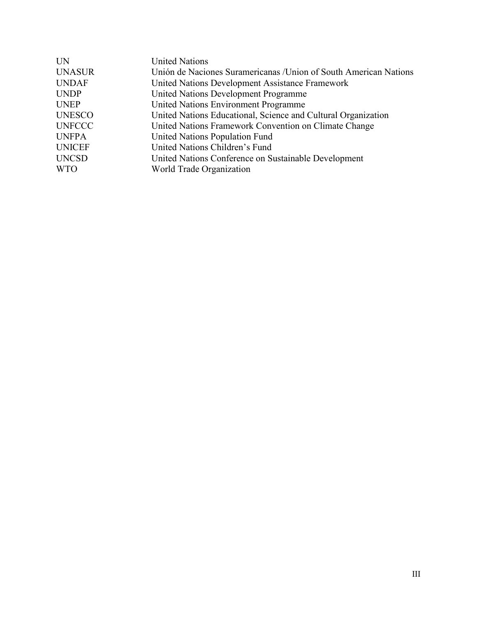| <b>IN</b>     | <b>United Nations</b>                                             |
|---------------|-------------------------------------------------------------------|
| <b>UNASUR</b> | Unión de Naciones Suramericanas / Union of South American Nations |
| <b>UNDAF</b>  | United Nations Development Assistance Framework                   |
| <b>UNDP</b>   | United Nations Development Programme                              |
| <b>UNEP</b>   | United Nations Environment Programme                              |
| <b>UNESCO</b> | United Nations Educational, Science and Cultural Organization     |
| <b>UNFCCC</b> | United Nations Framework Convention on Climate Change             |
| <b>UNFPA</b>  | United Nations Population Fund                                    |
| <b>UNICEF</b> | United Nations Children's Fund                                    |
| <b>UNCSD</b>  | United Nations Conference on Sustainable Development              |
| <b>WTO</b>    | World Trade Organization                                          |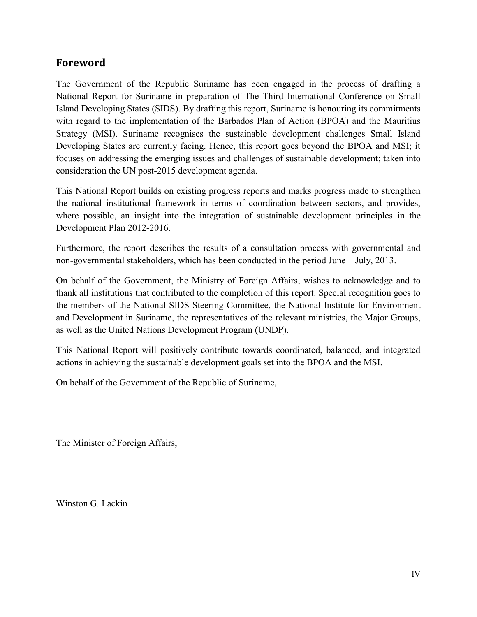# **Foreword&**

The Government of the Republic Suriname has been engaged in the process of drafting a National Report for Suriname in preparation of The Third International Conference on Small Island Developing States (SIDS). By drafting this report, Suriname is honouring its commitments with regard to the implementation of the Barbados Plan of Action (BPOA) and the Mauritius Strategy (MSI). Suriname recognises the sustainable development challenges Small Island Developing States are currently facing. Hence, this report goes beyond the BPOA and MSI; it focuses on addressing the emerging issues and challenges of sustainable development; taken into consideration the UN post-2015 development agenda.

This National Report builds on existing progress reports and marks progress made to strengthen the national institutional framework in terms of coordination between sectors, and provides, where possible, an insight into the integration of sustainable development principles in the Development Plan 2012-2016.

Furthermore, the report describes the results of a consultation process with governmental and non-governmental stakeholders, which has been conducted in the period June – July, 2013.

On behalf of the Government, the Ministry of Foreign Affairs, wishes to acknowledge and to thank all institutions that contributed to the completion of this report. Special recognition goes to the members of the National SIDS Steering Committee, the National Institute for Environment and Development in Suriname, the representatives of the relevant ministries, the Major Groups, as well as the United Nations Development Program (UNDP).

This National Report will positively contribute towards coordinated, balanced, and integrated actions in achieving the sustainable development goals set into the BPOA and the MSI.

On behalf of the Government of the Republic of Suriname,

The Minister of Foreign Affairs,

Winston G. Lackin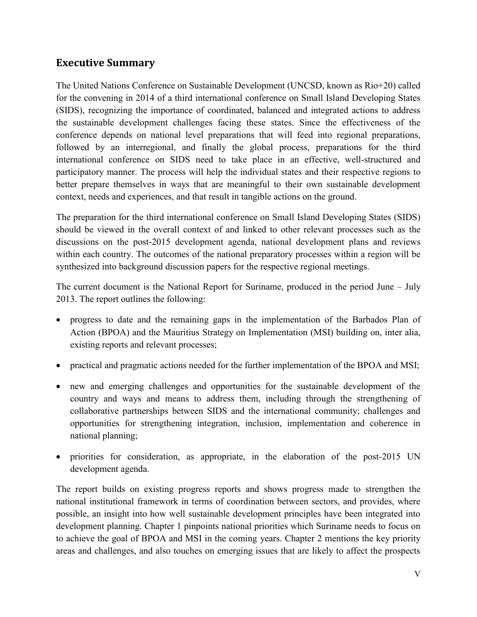# <span id="page-6-0"></span>**Executive Summary**

The United Nations Conference on Sustainable Development (UNCSD, known as Rio+20) called for the convening in 2014 of a third international conference on Small Island Developing States (SIDS), recognizing the importance of coordinated, balanced and integrated actions to address the sustainable development challenges facing these states. Since the effectiveness of the conference depends on national level preparations that will feed into regional preparations, followed by an interregional, and finally the global process, preparations for the third international conference on SIDS need to take place in an effective, well-structured and participatory manner. The process will help the individual states and their respective regions to better prepare themselves in ways that are meaningful to their own sustainable development context, needs and experiences, and that result in tangible actions on the ground.

The preparation for the third international conference on Small Island Developing States (SIDS) should be viewed in the overall context of and linked to other relevant processes such as the discussions on the post-2015 development agenda, national development plans and reviews within each country. The outcomes of the national preparatory processes within a region will be synthesized into background discussion papers for the respective regional meetings.

The current document is the National Report for Suriname, produced in the period June  $-$  July 2013. The report outlines the following:

- progress to date and the remaining gaps in the implementation of the Barbados Plan of Action (BPOA) and the Mauritius Strategy on Implementation (MSI) building on, inter alia, existing reports and relevant processes;
- x practical and pragmatic actions needed for the further implementation of the BPOA and MSI;
- x new and emerging challenges and opportunities for the sustainable development of the country and ways and means to address them, including through the strengthening of collaborative partnerships between SIDS and the international community; challenges and opportunities for strengthening integration, inclusion, implementation and coherence in national planning;
- priorities for consideration, as appropriate, in the elaboration of the post-2015 UN development agenda.

The report builds on existing progress reports and shows progress made to strengthen the national institutional framework in terms of coordination between sectors, and provides, where possible, an insight into how well sustainable development principles have been integrated into development planning. Chapter 1 pinpoints national priorities which Suriname needs to focus on to achieve the goal of BPOA and MSI in the coming years. Chapter 2 mentions the key priority areas and challenges, and also touches on emerging issues that are likely to affect the prospects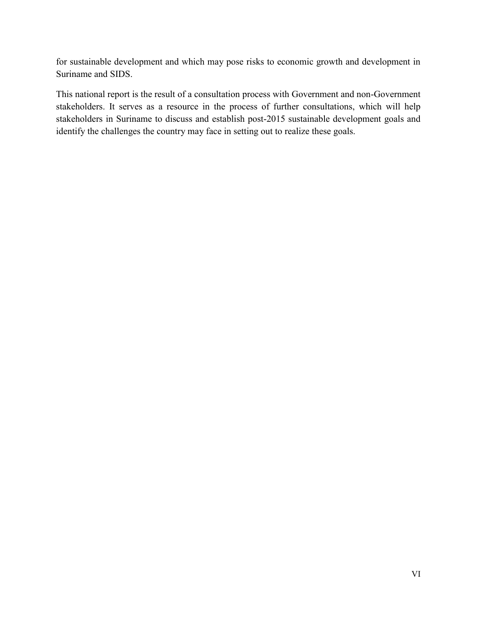for sustainable development and which may pose risks to economic growth and development in Suriname and SIDS.

This national report is the result of a consultation process with Government and non-Government stakeholders. It serves as a resource in the process of further consultations, which will help stakeholders in Suriname to discuss and establish post-2015 sustainable development goals and identify the challenges the country may face in setting out to realize these goals.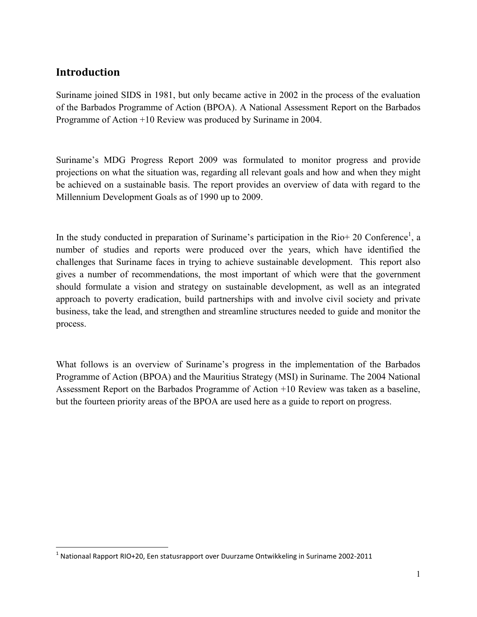# **Introduction**

 $\overline{\phantom{a}}$ 

Suriname joined SIDS in 1981, but only became active in 2002 in the process of the evaluation of the Barbados Programme of Action (BPOA). A National Assessment Report on the Barbados Programme of Action +10 Review was produced by Suriname in 2004.

Suriname's MDG Progress Report 2009 was formulated to monitor progress and provide projections on what the situation was, regarding all relevant goals and how and when they might be achieved on a sustainable basis. The report provides an overview of data with regard to the Millennium Development Goals as of 1990 up to 2009.

In the study conducted in preparation of Suriname's participation in the Rio+ 20 Conference<sup>1</sup>, a number of studies and reports were produced over the years, which have identified the challenges that Suriname faces in trying to achieve sustainable development. This report also gives a number of recommendations, the most important of which were that the government should formulate a vision and strategy on sustainable development, as well as an integrated approach to poverty eradication, build partnerships with and involve civil society and private business, take the lead, and strengthen and streamline structures needed to guide and monitor the process.

What follows is an overview of Suriname's progress in the implementation of the Barbados Programme of Action (BPOA) and the Mauritius Strategy (MSI) in Suriname. The 2004 National Assessment Report on the Barbados Programme of Action +10 Review was taken as a baseline, but the fourteen priority areas of the BPOA are used here as a guide to report on progress.

 $1$  Nationaal Rapport RIO+20, Een statusrapport over Duurzame Ontwikkeling in Suriname 2002-2011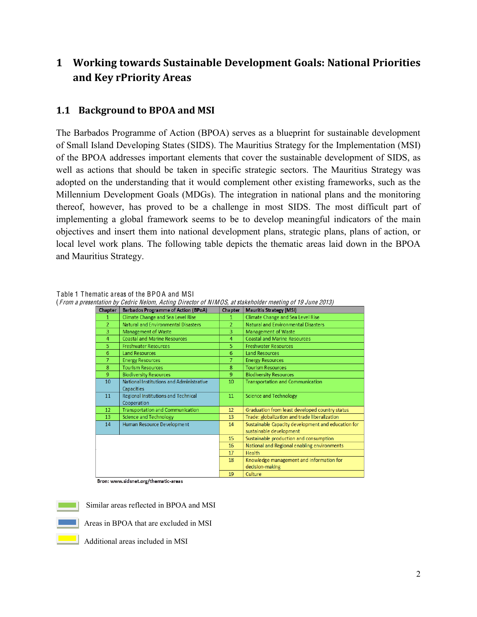# <span id="page-9-0"></span>**1 Working towards Sustainable Development Goals: National Priorities and&Key&rPriority Areas**

# <span id="page-9-1"></span>**1.1 Background to BPOA and MSI**

The Barbados Programme of Action (BPOA) serves as a blueprint for sustainable development of Small Island Developing States (SIDS). The Mauritius Strategy for the Implementation (MSI) of the BPOA addresses important elements that cover the sustainable development of SIDS, as well as actions that should be taken in specific strategic sectors. The Mauritius Strategy was adopted on the understanding that it would complement other existing frameworks, such as the Millennium Development Goals (MDGs). The integration in national plans and the monitoring thereof, however, has proved to be a challenge in most SIDS. The most difficult part of implementing a global framework seems to be to develop meaningful indicators of the main objectives and insert them into national development plans, strategic plans, plans of action, or local level work plans. The following table depicts the thematic areas laid down in the BPOA and Mauritius Strategy.

| <b>Chapter</b> | <b>Barbados Programme of Action (BPoA)</b> | <b>Chapter</b> | <b>Mauritis Strategy (MSI)</b>                     |
|----------------|--------------------------------------------|----------------|----------------------------------------------------|
| 1.             | Climate Change and Sea Level Rise          | 1              | Climate Change and Sea Level Rise                  |
| $\mathcal{L}$  | Natural and Environmental Disasters        | $\overline{2}$ | Natural and Environmental Disasters                |
| 3              | <b>Management of Waste</b>                 | 3              | Management of Waste                                |
| 4              | <b>Coastal and Marine Resources</b>        | 4              | <b>Coastal and Marine Resources</b>                |
| 5              | <b>Freshwater Resources</b>                | 5              | <b>Freshwater Resources</b>                        |
| 6              | <b>Land Resources</b>                      | 6              | <b>Land Resources</b>                              |
| $\overline{7}$ | <b>Energy Resources</b>                    | 7              | <b>Energy Resources</b>                            |
| 8              | <b>Tourism Resources</b>                   | 8              | <b>Tourism Resources</b>                           |
| 9              | <b>Biodiversity Resources</b>              | 9              | <b>Biodiversity Resources</b>                      |
| 10             | National Institutions and Administrative   | 10             | Transportation and Communication                   |
|                | <b>Capacities</b>                          |                |                                                    |
| 11             | Regional Institutions and Technical        | 11             | Science and Technology                             |
|                | Cooperation                                |                |                                                    |
| 12             | <b>Transportation and Communication</b>    | 12             | Graduation from least developed country status     |
| 13             | Science and Technology                     | 13             | Trade: globalization and trade liberalization      |
| 14             | Human Resource Development                 | 14             | Sustainable Capacity development and education for |
|                |                                            |                | sustainable development                            |
|                |                                            | 15             | Sustainable production and consumption             |
|                |                                            | 16             | National and Regional enabling environments        |
|                |                                            | 17             | <b>Health</b>                                      |
|                |                                            | 18             | Knowledge management and information for           |
|                |                                            |                | decision-making                                    |
|                |                                            | 19             | Culture                                            |

<span id="page-9-2"></span>Table 1 Thematic areas of the BPO A and MSI (<sup>F</sup> rom <sup>a</sup> presentation by <sup>C</sup>edri<sup>c</sup> <sup>N</sup>elom, <sup>A</sup>cting Director of NIMOS, <sup>a</sup><sup>t</sup> stakeholde<sup>r</sup> <sup>m</sup>eeting of <sup>19</sup> Jun<sup>e</sup> 2013)

Bron: www.sidsnet.org/thematic-areas



Similar areas reflected in BPOA and MSI



Areas in BPOA that are excluded in MSI



Additional areas included in MSI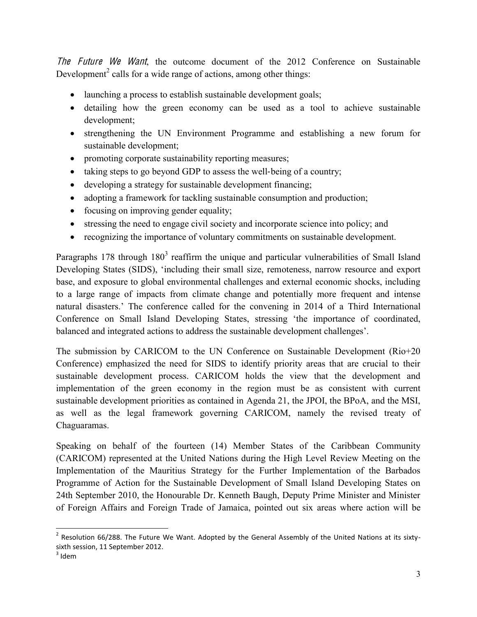The Future We Want, the outcome document of the 2012 Conference on Sustainable Development<sup>2</sup> calls for a wide range of actions, among other things:

- launching a process to establish sustainable development goals;
- detailing how the green economy can be used as a tool to achieve sustainable development;
- strengthening the UN Environment Programme and establishing a new forum for sustainable development;
- promoting corporate sustainability reporting measures;
- $\bullet$  taking steps to go beyond GDP to assess the well-being of a country;
- $\bullet$  developing a strategy for sustainable development financing;
- adopting a framework for tackling sustainable consumption and production;
- $\bullet$  focusing on improving gender equality;
- $\bullet$  stressing the need to engage civil society and incorporate science into policy; and
- recognizing the importance of voluntary commitments on sustainable development.

Paragraphs 178 through  $180<sup>3</sup>$  reaffirm the unique and particular vulnerabilities of Small Island Developing States (SIDS), 'including their small size, remoteness, narrow resource and export base, and exposure to global environmental challenges and external economic shocks, including to a large range of impacts from climate change and potentially more frequent and intense natural disasters.' The conference called for the convening in 2014 of a Third International Conference on Small Island Developing States, stressing 'the importance of coordinated, balanced and integrated actions to address the sustainable development challenges'.

The submission by CARICOM to the UN Conference on Sustainable Development (Rio+20 Conference) emphasized the need for SIDS to identify priority areas that are crucial to their sustainable development process. CARICOM holds the view that the development and implementation of the green economy in the region must be as consistent with current sustainable development priorities as contained in Agenda 21, the JPOI, the BPoA, and the MSI, as well as the legal framework governing CARICOM, namely the revised treaty of Chaguaramas.

Speaking on behalf of the fourteen (14) Member States of the Caribbean Community (CARICOM) represented at the United Nations during the High Level Review Meeting on the Implementation of the Mauritius Strategy for the Further Implementation of the Barbados Programme of Action for the Sustainable Development of Small Island Developing States on 24th September 2010, the Honourable Dr. Kenneth Baugh, Deputy Prime Minister and Minister of Foreign Affairs and Foreign Trade of Jamaica, pointed out six areas where action will be

 $\overline{a}$ 

<sup>&</sup>lt;sup>2</sup> Resolution 66/288. The Future We Want. Adopted by the General Assembly of the United Nations at its sixtysixth session, 11 September 2012.  $3$  Idem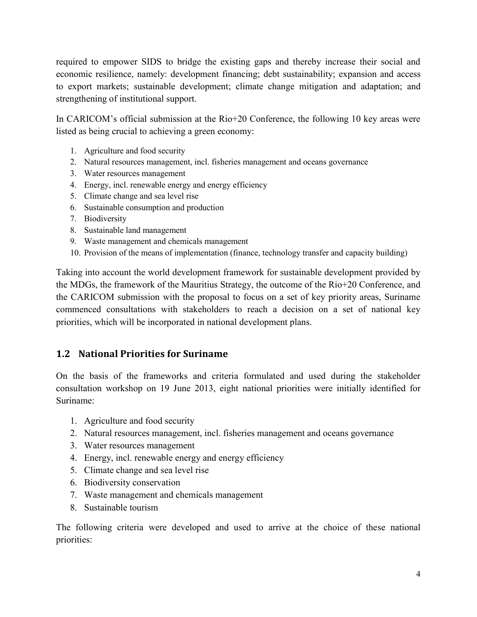required to empower SIDS to bridge the existing gaps and thereby increase their social and economic resilience, namely: development financing; debt sustainability; expansion and access to export markets; sustainable development; climate change mitigation and adaptation; and strengthening of institutional support.

In CARICOM's official submission at the Rio+20 Conference, the following 10 key areas were listed as being crucial to achieving a green economy:

- 1. Agriculture and food security
- 2. Natural resources management, incl. fisheries management and oceans governance
- 3. Water resources management
- 4. Energy, incl. renewable energy and energy efficiency
- 5. Climate change and sea level rise
- 6. Sustainable consumption and production
- 7. Biodiversity
- 8. Sustainable land management
- 9. Waste management and chemicals management
- 10. Provision of the means of implementation (finance, technology transfer and capacity building)

Taking into account the world development framework for sustainable development provided by the MDGs, the framework of the Mauritius Strategy, the outcome of the Rio+20 Conference, and the CARICOM submission with the proposal to focus on a set of key priority areas, Suriname commenced consultations with stakeholders to reach a decision on a set of national key priorities, which will be incorporated in national development plans.

# <span id="page-11-0"></span>**1.2 National&Priorities for&Suriname**

On the basis of the frameworks and criteria formulated and used during the stakeholder consultation workshop on 19 June 2013, eight national priorities were initially identified for Suriname:

- 1. Agriculture and food security
- 2. Natural resources management, incl. fisheries management and oceans governance
- 3. Water resources management
- 4. Energy, incl. renewable energy and energy efficiency
- 5. Climate change and sea level rise
- 6. Biodiversity conservation
- 7. Waste management and chemicals management
- 8. Sustainable tourism

The following criteria were developed and used to arrive at the choice of these national priorities: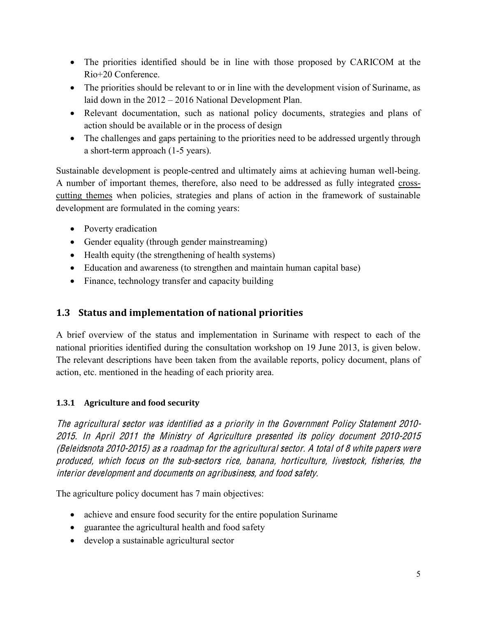- The priorities identified should be in line with those proposed by CARICOM at the Rio+20 Conference.
- The priorities should be relevant to or in line with the development vision of Suriname, as laid down in the  $2012 - 2016$  National Development Plan.
- Relevant documentation, such as national policy documents, strategies and plans of action should be available or in the process of design
- The challenges and gaps pertaining to the priorities need to be addressed urgently through a short-term approach (1-5 years).

Sustainable development is people-centred and ultimately aims at achieving human well-being. A number of important themes, therefore, also need to be addressed as fully integrated crosscutting themes when policies, strategies and plans of action in the framework of sustainable development are formulated in the coming years:

- Poverty eradication
- Gender equality (through gender mainstreaming)
- $\bullet$  Health equity (the strengthening of health systems)
- Education and awareness (to strengthen and maintain human capital base)
- Finance, technology transfer and capacity building

# <span id="page-12-0"></span>**1.3 Status and implementation of national priorities**

A brief overview of the status and implementation in Suriname with respect to each of the national priorities identified during the consultation workshop on 19 June 2013, is given below. The relevant descriptions have been taken from the available reports, policy document, plans of action, etc. mentioned in the heading of each priority area.

# **1.3.1 Agriculture and food security**

Th<sup>e</sup> agricultural <sup>s</sup>ector wa<sup>s</sup> identified <sup>a</sup><sup>s</sup> <sup>a</sup> priority in th<sup>e</sup> Government Policy Statement 2010- 2015. In April 2011 th<sup>e</sup> Ministry <sup>o</sup>f Agricultur<sup>e</sup> presented its poli<sup>c</sup>y document 2010-2015 (Beleidsnot<sup>a</sup> 2010-2015) <sup>a</sup><sup>s</sup> <sup>a</sup> roadmap for th<sup>e</sup> agricultural <sup>s</sup>ector. A total <sup>o</sup>f 8 whit<sup>e</sup> paper<sup>s</sup> <sup>w</sup>er<sup>e</sup> produced, which focu<sup>s</sup> on th<sup>e</sup> <sup>s</sup>ub-sector<sup>s</sup> rice, banana, horticulture, livestock, fisheries, th<sup>e</sup> interior dev<sup>e</sup>lopm<sup>e</sup>nt and documents on agribusiness, and food <sup>s</sup>afety.

The agriculture policy document has 7 main objectives:

- achieve and ensure food security for the entire population Suriname
- $\bullet$  guarantee the agricultural health and food safety
- develop a sustainable agricultural sector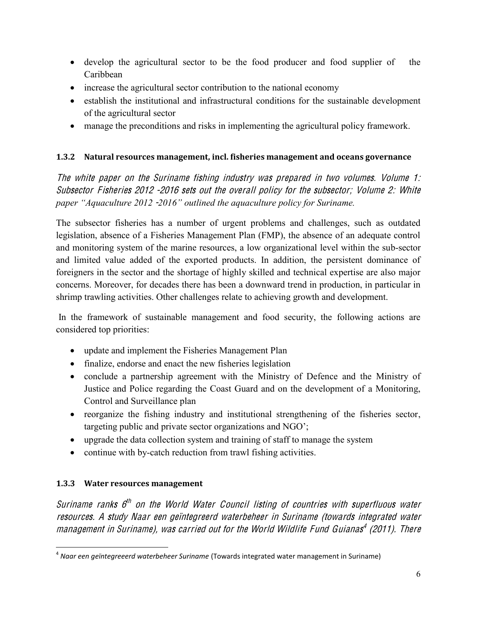- develop the agricultural sector to be the food producer and food supplier of the Caribbean
- increase the agricultural sector contribution to the national economy
- establish the institutional and infrastructural conditions for the sustainable development of the agricultural sector
- manage the preconditions and risks in implementing the agricultural policy framework.

### 1.3.2 Natural resources management, incl. fisheries management and oceans governance

The white paper on the Suriname fishing industry was prepared in two volumes. Volume 1: Subsector Fisheries 2012 -2016 sets out the overall policy for the subsector; Volume 2: White paper "Aquaculture 2012 -2016" outlined the aquaculture policy for Suriname.

The subsector fisheries has a number of urgent problems and challenges, such as outdated legislation, absence of a Fisheries Management Plan (FMP), the absence of an adequate control and monitoring system of the marine resources, a low organizational level within the sub-sector and limited value added of the exported products. In addition, the persistent dominance of foreigners in the sector and the shortage of highly skilled and technical expertise are also major concerns. Moreover, for decades there has been a downward trend in production, in particular in shrimp trawling activities. Other challenges relate to achieving growth and development.

In the framework of sustainable management and food security, the following actions are considered top priorities:

- update and implement the Fisheries Management Plan
- finalize, endorse and enact the new fisheries legislation
- conclude a partnership agreement with the Ministry of Defence and the Ministry of Justice and Police regarding the Coast Guard and on the development of a Monitoring, Control and Surveillance plan
- reorganize the fishing industry and institutional strengthening of the fisheries sector, targeting public and private sector organizations and NGO';
- upgrade the data collection system and training of staff to manage the system
- continue with by-catch reduction from trawl fishing activities.

### 1.3.3 Water resources management

Suriname ranks 6<sup>th</sup> on the World Water Council listing of countries with superfluous water resources. A study Naar een geïntegreerd waterbeheer in Suriname (towards integrated water management in Suriname), was carried out for the World Wildlife Fund Guianas<sup>4</sup> (2011). There

 $<sup>4</sup>$  Naar een geïntegreeerd waterbeheer Suriname (Towards integrated water management in Suriname)</sup>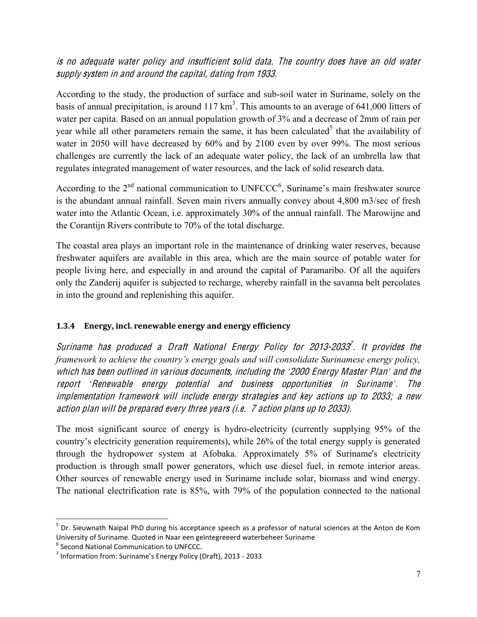## is no adequate water policy and insufficient solid data. The country does have an old water supply system in and around the capital, dating from 1933.

According to the study, the production of surface and sub-soil water in Suriname, solely on the basis of annual precipitation, is around 117  $km^3$ . This amounts to an average of 641,000 litters of water per capita. Based on an annual population growth of 3% and a decrease of 2mm of rain per year while all other parameters remain the same, it has been calculated<sup>5</sup> that the availability of water in 2050 will have decreased by 60% and by 2100 even by over 99%. The most serious challenges are currently the lack of an adequate water policy, the lack of an umbrella law that regulates integrated management of water resources, and the lack of solid research data.

According to the  $2<sup>nd</sup>$  national communication to UNFCCC<sup>6</sup>, Suriname's main freshwater source is the abundant annual rainfall. Seven main rivers annually convey about 4,800 m3/sec of fresh water into the Atlantic Ocean, i.e. approximately 30% of the annual rainfall. The Marowijne and the Corantijn Rivers contribute to 70% of the total discharge.

The coastal area plays an important role in the maintenance of drinking water reserves, because freshwater aquifers are available in this area, which are the main source of potable water for people living here, and especially in and around the capital of Paramaribo. Of all the aquifers only the Zanderij aquifer is subjected to recharge, whereby rainfall in the savanna belt percolates in into the ground and replenishing this aquifer.

### 1.3.4 Energy, incl. renewable energy and energy efficiency

Suriname has produced a Draft National Energy Policy for 2013-2033<sup>7</sup>. It provides the framework to achieve the country's energy goals and will consolidate Surinamese energy policy, which has been outlined in various documents, including the '2000 Energy Master Plan' and the report 'Renewable energy potential and business opportunities in Suriname'. The implementation framework will include energy strategies and key actions up to 2033; a new action plan will be prepared every three years (i.e. 7 action plans up to 2033).

The most significant source of energy is hydro-electricity (currently supplying 95% of the country's electricity generation requirements), while 26% of the total energy supply is generated through the hydropower system at Afobaka. Approximately 5% of Suriname's electricity production is through small power generators, which use diesel fuel, in remote interior areas. Other sources of renewable energy used in Suriname include solar, biomass and wind energy. The national electrification rate is 85%, with 79% of the population connected to the national

<sup>&</sup>lt;sup>5</sup> Dr. Sieuwnath Naipal PhD during his acceptance speech as a professor of natural sciences at the Anton de Kom University of Suriname. Quoted in Naar een geïntegreeerd waterbeheer Suriname

<sup>&</sup>lt;sup>6</sup> Second National Communication to UNFCCC.

<sup>&</sup>lt;sup>7</sup> Information from: Suriname's Energy Policy (Draft), 2013 - 2033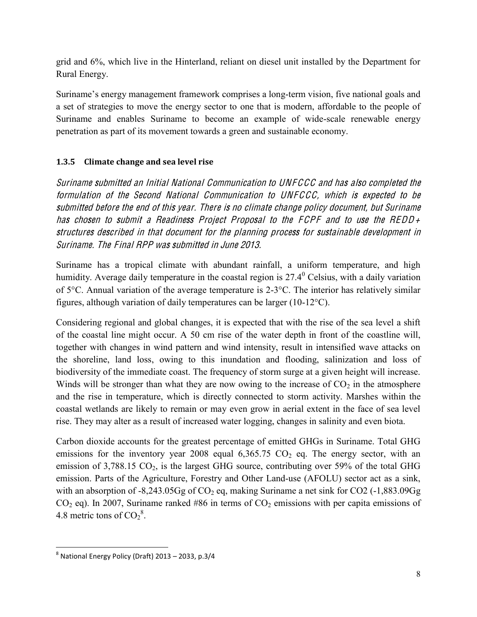grid and 6%, which live in the Hinterland, reliant on diesel unit installed by the Department for Rural Energy.

Suriname's energy management framework comprises a long-term vision, five national goals and a set of strategies to move the energy sector to one that is modern, affordable to the people of Suriname and enables Suriname to become an example of wide-scale renewable energy penetration as part of its movement towards a green and sustainable economy.

### **1.3.5** Climate change and sea level rise

Surinam<sup>e</sup> <sup>s</sup>ubmitted an Initial National Communication t<sup>o</sup> UNFCCC and ha<sup>s</sup> als<sup>o</sup> <sup>c</sup>ompleted th<sup>e</sup> formulation <sup>o</sup>f th<sup>e</sup> Second National Communication t<sup>o</sup> UNFCCC, which i<sup>s</sup> <sup>e</sup>xpected t<sup>o</sup> b<sup>e</sup> <sup>s</sup>ubmitted befor<sup>e</sup> th<sup>e</sup> <sup>e</sup>nd <sup>o</sup>f thi<sup>s</sup> year. Ther<sup>e</sup> i<sup>s</sup> no <sup>c</sup>limat<sup>e</sup> <sup>c</sup>hang<sup>e</sup> poli<sup>c</sup>y document, but Surinam<sup>e</sup> ha<sup>s</sup> <sup>c</sup>hose<sup>n</sup> t<sup>o</sup> <sup>s</sup>ubmit <sup>a</sup> Readiness Project Proposal t<sup>o</sup> th<sup>e</sup> FCPF and t<sup>o</sup> <sup>u</sup>s<sup>e</sup> th<sup>e</sup> REDD+ structure<sup>s</sup> described in that document for th<sup>e</sup> planning process for <sup>s</sup>ustainabl<sup>e</sup> dev<sup>e</sup>lopm<sup>e</sup>nt in Suriname. The Final RPP was submitted in June 2013.

Suriname has a tropical climate with abundant rainfall, a uniform temperature, and high humidity. Average daily temperature in the coastal region is  $27.4^{\circ}$  Celsius, with a daily variation of 5°C. Annual variation of the average temperature is 2-3°C. The interior has relatively similar figures, although variation of daily temperatures can be larger (10-12°C).

Considering regional and global changes, it is expected that with the rise of the sea level a shift of the coastal line might occur. A 50 cm rise of the water depth in front of the coastline will, together with changes in wind pattern and wind intensity, result in intensified wave attacks on the shoreline, land loss, owing to this inundation and flooding, salinization and loss of biodiversity of the immediate coast. The frequency of storm surge at a given height will increase. Winds will be stronger than what they are now owing to the increase of  $CO<sub>2</sub>$  in the atmosphere and the rise in temperature, which is directly connected to storm activity. Marshes within the coastal wetlands are likely to remain or may even grow in aerial extent in the face of sea level rise. They may alter as a result of increased water logging, changes in salinity and even biota.

Carbon dioxide accounts for the greatest percentage of emitted GHGs in Suriname. Total GHG emissions for the inventory year 2008 equal  $6,365.75$  CO<sub>2</sub> eq. The energy sector, with an emission of  $3,788.15$  CO<sub>2</sub>, is the largest GHG source, contributing over 59% of the total GHG emission. Parts of the Agriculture, Forestry and Other Land-use (AFOLU) sector act as a sink, with an absorption of  $-8,243.05$ Gg of CO<sub>2</sub> eq, making Suriname a net sink for CO2 ( $-1,883.09$ Gg  $CO<sub>2</sub>$  eq). In 2007, Suriname ranked #86 in terms of  $CO<sub>2</sub>$  emissions with per capita emissions of 4.8 metric tons of  $CO<sub>2</sub><sup>8</sup>$ .

 $\overline{\phantom{a}}$ 

 $8$  National Energy Policy (Draft) 2013 – 2033, p.3/4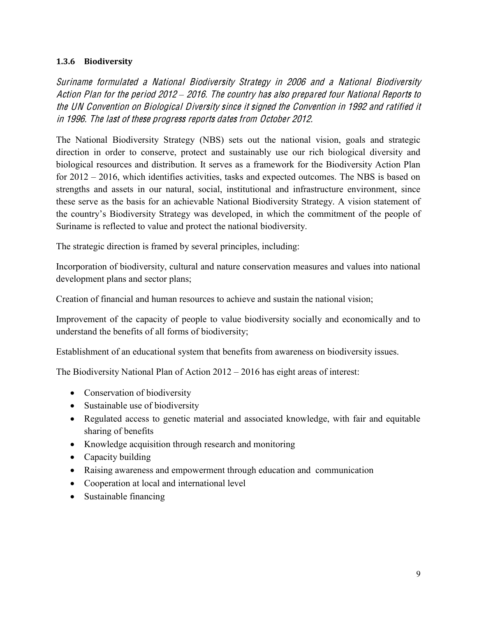#### **1.3.6 Biodiversity**

Surinam<sup>e</sup> formulated <sup>a</sup> National Biodiversity Strategy in 2006 and <sup>a</sup> National Biodiversity Action Plan for the period 2012 - 2016. The country has also prepared four National Reports to th<sup>e</sup> UN Convention on Biological Diversity <sup>s</sup>ince it <sup>s</sup>igned th<sup>e</sup> Convention in 1992 and ratified it in 1996. Th<sup>e</sup> last <sup>o</sup>f thes<sup>e</sup> progress <sup>r</sup>eports date<sup>s</sup> from Octobe<sup>r</sup> 2012.

The National Biodiversity Strategy (NBS) sets out the national vision, goals and strategic direction in order to conserve, protect and sustainably use our rich biological diversity and biological resources and distribution. It serves as a framework for the Biodiversity Action Plan for  $2012 - 2016$ , which identifies activities, tasks and expected outcomes. The NBS is based on strengths and assets in our natural, social, institutional and infrastructure environment, since these serve as the basis for an achievable National Biodiversity Strategy. A vision statement of the country's Biodiversity Strategy was developed, in which the commitment of the people of Suriname is reflected to value and protect the national biodiversity.

The strategic direction is framed by several principles, including:

Incorporation of biodiversity, cultural and nature conservation measures and values into national development plans and sector plans;

Creation of financial and human resources to achieve and sustain the national vision;

Improvement of the capacity of people to value biodiversity socially and economically and to understand the benefits of all forms of biodiversity;

Establishment of an educational system that benefits from awareness on biodiversity issues.

The Biodiversity National Plan of Action  $2012 - 2016$  has eight areas of interest:

- Conservation of biodiversity
- Sustainable use of biodiversity
- Regulated access to genetic material and associated knowledge, with fair and equitable sharing of benefits
- Knowledge acquisition through research and monitoring
- $\bullet$  Capacity building
- Raising awareness and empowerment through education and communication
- Cooperation at local and international level
- Sustainable financing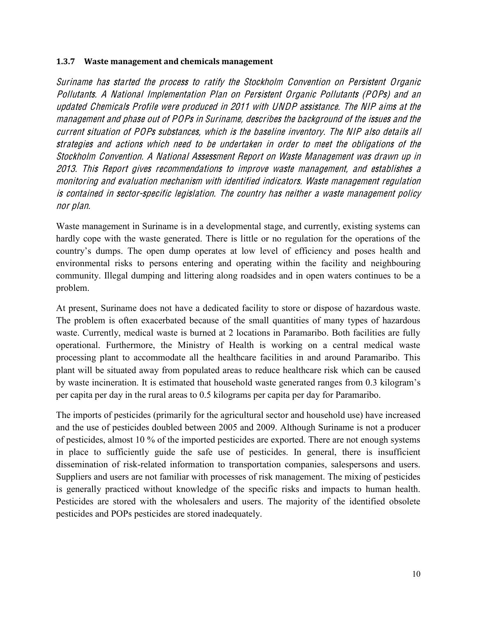#### **1.3.7** Waste management and chemicals management

Surinam<sup>e</sup> ha<sup>s</sup> started th<sup>e</sup> process t<sup>o</sup> ratify th<sup>e</sup> Stockholm Convention on Persistent Organi<sup>c</sup> Pollutants. A National Impl<sup>e</sup>mentation Plan on Persistent Organi<sup>c</sup> Pollutants (POPs) and an updated Chemical<sup>s</sup> Profil<sup>e</sup> <sup>w</sup>er<sup>e</sup> produced in 2011 with UNDP <sup>a</sup>ssistance. Th<sup>e</sup> NIP aim<sup>s</sup> <sup>a</sup>t th<sup>e</sup> management and pha<sup>s</sup><sup>e</sup> out <sup>o</sup>f POP<sup>s</sup> in Suriname, describe<sup>s</sup> th<sup>e</sup> background <sup>o</sup>f th<sup>e</sup> issue<sup>s</sup> and th<sup>e</sup> <sup>c</sup>urrent <sup>s</sup>ituation <sup>o</sup>f POP<sup>s</sup> <sup>s</sup>ubstances, which i<sup>s</sup> th<sup>e</sup> baselin<sup>e</sup> inventory. Th<sup>e</sup> NIP als<sup>o</sup> detail<sup>s</sup> all strategie<sup>s</sup> and <sup>a</sup>ction<sup>s</sup> which <sup>n</sup>eed t<sup>o</sup> b<sup>e</sup> undertake<sup>n</sup> in orde<sup>r</sup> t<sup>o</sup> <sup>m</sup>eet th<sup>e</sup> obligation<sup>s</sup> <sup>o</sup>f th<sup>e</sup> Stockholm Convention. A National Assessment Report on Wast<sup>e</sup> Manag<sup>e</sup>ment wa<sup>s</sup> drawn up in 2013. Thi<sup>s</sup> Report give<sup>s</sup> <sup>r</sup>ecommendation<sup>s</sup> t<sup>o</sup> improv<sup>e</sup> wast<sup>e</sup> management, and <sup>e</sup>stablishe<sup>s</sup> <sup>a</sup> monitoring and <sup>e</sup>valuation <sup>m</sup>echanis<sup>m</sup> with identified indicators. Wast<sup>e</sup> management <sup>r</sup><sup>e</sup>gulation i<sup>s</sup> <sup>c</sup>ontained in <sup>s</sup>ector-specifi<sup>c</sup> legislation. Th<sup>e</sup> <sup>c</sup>ountry ha<sup>s</sup> <sup>n</sup>eithe<sup>r</sup> <sup>a</sup> wast<sup>e</sup> management poli<sup>c</sup>y nor plan.

Waste management in Suriname is in a developmental stage, and currently, existing systems can hardly cope with the waste generated. There is little or no regulation for the operations of the country's dumps. The open dump operates at low level of efficiency and poses health and environmental risks to persons entering and operating within the facility and neighbouring community. Illegal dumping and littering along roadsides and in open waters continues to be a problem.

At present, Suriname does not have a dedicated facility to store or dispose of hazardous waste. The problem is often exacerbated because of the small quantities of many types of hazardous waste. Currently, medical waste is burned at 2 locations in Paramaribo. Both facilities are fully operational. Furthermore, the Ministry of Health is working on a central medical waste processing plant to accommodate all the healthcare facilities in and around Paramaribo. This plant will be situated away from populated areas to reduce healthcare risk which can be caused by waste incineration. It is estimated that household waste generated ranges from 0.3 kilogram's per capita per day in the rural areas to 0.5 kilograms per capita per day for Paramaribo.

The imports of pesticides (primarily for the agricultural sector and household use) have increased and the use of pesticides doubled between 2005 and 2009. Although Suriname is not a producer of pesticides, almost 10 % of the imported pesticides are exported. There are not enough systems in place to sufficiently guide the safe use of pesticides. In general, there is insufficient dissemination of risk-related information to transportation companies, salespersons and users. Suppliers and users are not familiar with processes of risk management. The mixing of pesticides is generally practiced without knowledge of the specific risks and impacts to human health. Pesticides are stored with the wholesalers and users. The majority of the identified obsolete pesticides and POPs pesticides are stored inadequately.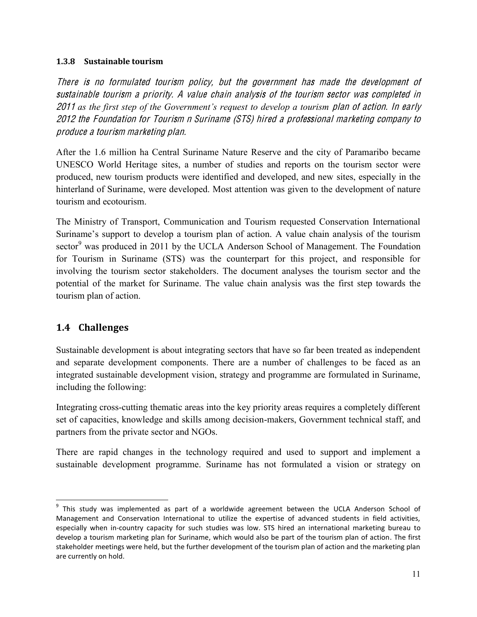#### **1.3.8** Sustainable tourism

Ther<sup>e</sup> i<sup>s</sup> no formulated touris<sup>m</sup> poli<sup>c</sup>y, but th<sup>e</sup> government ha<sup>s</sup> mad<sup>e</sup> th<sup>e</sup> dev<sup>e</sup>lopm<sup>e</sup>nt <sup>o</sup>f <sup>s</sup>ustainabl<sup>e</sup> touris<sup>m</sup> <sup>a</sup> priority. A valu<sup>e</sup> <sup>c</sup>hain analysi<sup>s</sup> <sup>o</sup>f th<sup>e</sup> touris<sup>m</sup> <sup>s</sup>ector wa<sup>s</sup> <sup>c</sup>ompleted in 2011 as the first step of the Government's request to develop a tourism plan of action. In early 2012 th<sup>e</sup> Foundation for Touris<sup>m</sup> <sup>n</sup> Surinam<sup>e</sup> (STS) hired <sup>a</sup> professional marketing <sup>c</sup>ompany t<sup>o</sup> produce <sup>a</sup> touris<sup>m</sup> marketing plan.

After the 1.6 million ha Central Suriname Nature Reserve and the city of Paramaribo became UNESCO World Heritage sites, a number of studies and reports on the tourism sector were produced, new tourism products were identified and developed, and new sites, especially in the hinterland of Suriname, were developed. Most attention was given to the development of nature tourism and ecotourism.

The Ministry of Transport, Communication and Tourism requested Conservation International Suriname's support to develop a tourism plan of action. A value chain analysis of the tourism sector<sup>9</sup> was produced in 2011 by the UCLA Anderson School of Management. The Foundation for Tourism in Suriname (STS) was the counterpart for this project, and responsible for involving the tourism sector stakeholders. The document analyses the tourism sector and the potential of the market for Suriname. The value chain analysis was the first step towards the tourism plan of action.

# <span id="page-18-0"></span>**1.4 Challenges**

l

Sustainable development is about integrating sectors that have so far been treated as independent and separate development components. There are a number of challenges to be faced as an integrated sustainable development vision, strategy and programme are formulated in Suriname, including the following:

Integrating cross-cutting thematic areas into the key priority areas requires a completely different set of capacities, knowledge and skills among decision-makers, Government technical staff, and partners from the private sector and NGOs.

There are rapid changes in the technology required and used to support and implement a sustainable development programme. Suriname has not formulated a vision or strategy on

 $9$  This study was implemented as part of a worldwide agreement between the UCLA Anderson School of Management and Conservation International to utilize the expertise of advanced students in field activities, especially when in-country capacity for such studies was low. STS hired an international marketing bureau to develop a tourism marketing plan for Suriname, which would also be part of the tourism plan of action. The first stakeholder meetings were held, but the further development of the tourism plan of action and the marketing plan are currently on hold.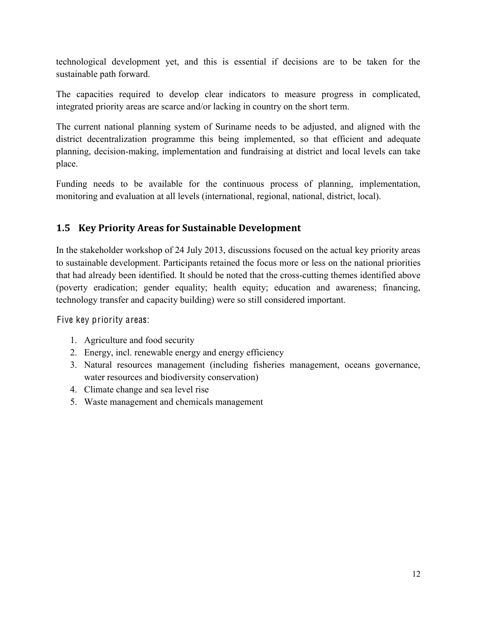technological development yet, and this is essential if decisions are to be taken for the sustainable path forward.

The capacities required to develop clear indicators to measure progress in complicated, integrated priority areas are scarce and/or lacking in country on the short term.

The current national planning system of Suriname needs to be adjusted, and aligned with the district decentralization programme this being implemented, so that efficient and adequate planning, decision-making, implementation and fundraising at district and local levels can take place.

Funding needs to be available for the continuous process of planning, implementation, monitoring and evaluation at all levels (international, regional, national, district, local).

# <span id="page-19-0"></span>**1.5 Key Priority Areas for Sustainable Development**

In the stakeholder workshop of 24 July 2013, discussions focused on the actual key priority areas to sustainable development. Participants retained the focus more or less on the national priorities that had already been identified. It should be noted that the cross-cutting themes identified above (poverty eradication; gender equality; health equity; education and awareness; financing, technology transfer and capacity building) were so still considered important.

Five key priority areas:

- 1. Agriculture and food security
- 2. Energy, incl. renewable energy and energy efficiency
- 3. Natural resources management (including fisheries management, oceans governance, water resources and biodiversity conservation)
- 4. Climate change and sea level rise
- 5. Waste management and chemicals management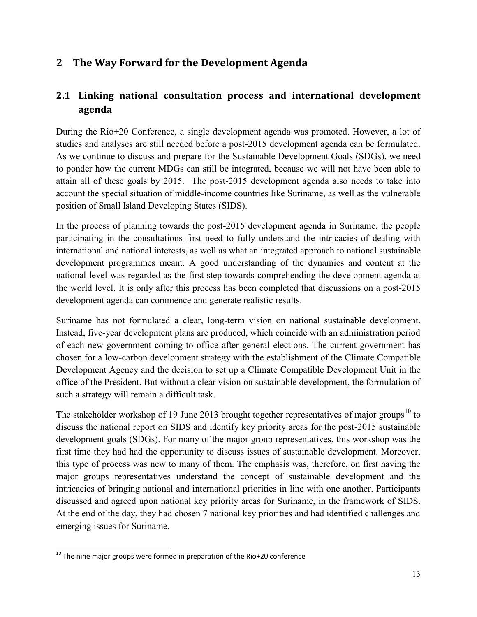# <span id="page-20-0"></span>**2 The&Way Forward for the Development Agenda**

# <span id="page-20-1"></span>**2.1 Linking national consultation process and international development agenda**

During the Rio+20 Conference, a single development agenda was promoted. However, a lot of studies and analyses are still needed before a post-2015 development agenda can be formulated. As we continue to discuss and prepare for the Sustainable Development Goals (SDGs), we need to ponder how the current MDGs can still be integrated, because we will not have been able to attain all of these goals by 2015. The post-2015 development agenda also needs to take into account the special situation of middle-income countries like Suriname, as well as the vulnerable position of Small Island Developing States (SIDS).

In the process of planning towards the post-2015 development agenda in Suriname, the people participating in the consultations first need to fully understand the intricacies of dealing with international and national interests, as well as what an integrated approach to national sustainable development programmes meant. A good understanding of the dynamics and content at the national level was regarded as the first step towards comprehending the development agenda at the world level. It is only after this process has been completed that discussions on a post-2015 development agenda can commence and generate realistic results.

Suriname has not formulated a clear, long-term vision on national sustainable development. Instead, five-year development plans are produced, which coincide with an administration period of each new government coming to office after general elections. The current government has chosen for a low-carbon development strategy with the establishment of the Climate Compatible Development Agency and the decision to set up a Climate Compatible Development Unit in the office of the President. But without a clear vision on sustainable development, the formulation of such a strategy will remain a difficult task.

The stakeholder workshop of 19 June 2013 brought together representatives of major groups<sup>10</sup> to discuss the national report on SIDS and identify key priority areas for the post-2015 sustainable development goals (SDGs). For many of the major group representatives, this workshop was the first time they had had the opportunity to discuss issues of sustainable development. Moreover, this type of process was new to many of them. The emphasis was, therefore, on first having the major groups representatives understand the concept of sustainable development and the intricacies of bringing national and international priorities in line with one another. Participants discussed and agreed upon national key priority areas for Suriname, in the framework of SIDS. At the end of the day, they had chosen 7 national key priorities and had identified challenges and emerging issues for Suriname.

 $\overline{\phantom{a}}$ 

 $10$  The nine major groups were formed in preparation of the Rio+20 conference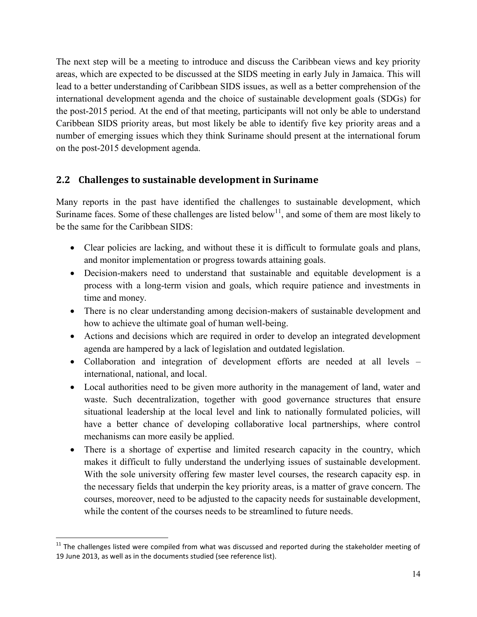The next step will be a meeting to introduce and discuss the Caribbean views and key priority areas, which are expected to be discussed at the SIDS meeting in early July in Jamaica. This will lead to a better understanding of Caribbean SIDS issues, as well as a better comprehension of the international development agenda and the choice of sustainable development goals (SDGs) for the post-2015 period. At the end of that meeting, participants will not only be able to understand Caribbean SIDS priority areas, but most likely be able to identify five key priority areas and a number of emerging issues which they think Suriname should present at the international forum on the post-2015 development agenda.

# <span id="page-21-0"></span>**2.2 Challenges to sustainable development in Suriname**

Many reports in the past have identified the challenges to sustainable development, which Suriname faces. Some of these challenges are listed below<sup>11</sup>, and some of them are most likely to be the same for the Caribbean SIDS:

- Clear policies are lacking, and without these it is difficult to formulate goals and plans, and monitor implementation or progress towards attaining goals.
- Decision-makers need to understand that sustainable and equitable development is a process with a long-term vision and goals, which require patience and investments in time and money.
- There is no clear understanding among decision-makers of sustainable development and how to achieve the ultimate goal of human well-being.
- Actions and decisions which are required in order to develop an integrated development agenda are hampered by a lack of legislation and outdated legislation.
- Collaboration and integration of development efforts are needed at all levels  $$ international, national, and local.
- Local authorities need to be given more authority in the management of land, water and waste. Such decentralization, together with good governance structures that ensure situational leadership at the local level and link to nationally formulated policies, will have a better chance of developing collaborative local partnerships, where control mechanisms can more easily be applied.
- There is a shortage of expertise and limited research capacity in the country, which makes it difficult to fully understand the underlying issues of sustainable development. With the sole university offering few master level courses, the research capacity esp. in the necessary fields that underpin the key priority areas, is a matter of grave concern. The courses, moreover, need to be adjusted to the capacity needs for sustainable development, while the content of the courses needs to be streamlined to future needs.

l

 $11$  The challenges listed were compiled from what was discussed and reported during the stakeholder meeting of 19 June 2013, as well as in the documents studied (see reference list).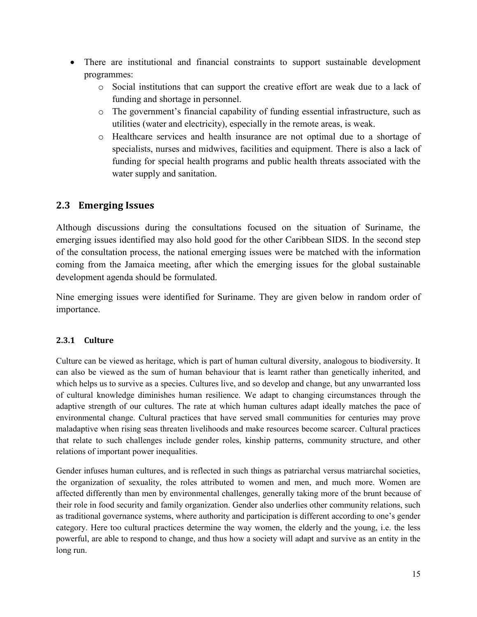- There are institutional and financial constraints to support sustainable development programmes:
	- o Social institutions that can support the creative effort are weak due to a lack of funding and shortage in personnel.
	- $\circ$  The government's financial capability of funding essential infrastructure, such as utilities (water and electricity), especially in the remote areas, is weak.
	- o Healthcare services and health insurance are not optimal due to a shortage of specialists, nurses and midwives, facilities and equipment. There is also a lack of funding for special health programs and public health threats associated with the water supply and sanitation.

# <span id="page-22-0"></span>**2.3 Emerging Issues**

Although discussions during the consultations focused on the situation of Suriname, the emerging issues identified may also hold good for the other Caribbean SIDS. In the second step of the consultation process, the national emerging issues were be matched with the information coming from the Jamaica meeting, after which the emerging issues for the global sustainable development agenda should be formulated.

Nine emerging issues were identified for Suriname. They are given below in random order of importance.

#### <span id="page-22-1"></span>**2.3.1 Culture**

Culture can be viewed as heritage, which is part of human cultural diversity, analogous to biodiversity. It can also be viewed as the sum of human behaviour that is learnt rather than genetically inherited, and which helps us to survive as a species. Cultures live, and so develop and change, but any unwarranted loss of cultural knowledge diminishes human resilience. We adapt to changing circumstances through the adaptive strength of our cultures. The rate at which human cultures adapt ideally matches the pace of environmental change. Cultural practices that have served small communities for centuries may prove maladaptive when rising seas threaten livelihoods and make resources become scarcer. Cultural practices that relate to such challenges include gender roles, kinship patterns, community structure, and other relations of important power inequalities.

Gender infuses human cultures, and is reflected in such things as patriarchal versus matriarchal societies, the organization of sexuality, the roles attributed to women and men, and much more. Women are affected differently than men by environmental challenges, generally taking more of the brunt because of their role in food security and family organization. Gender also underlies other community relations, such as traditional governance systems, where authority and participation is different according to one's gender category. Here too cultural practices determine the way women, the elderly and the young, i.e. the less powerful, are able to respond to change, and thus how a society will adapt and survive as an entity in the long run.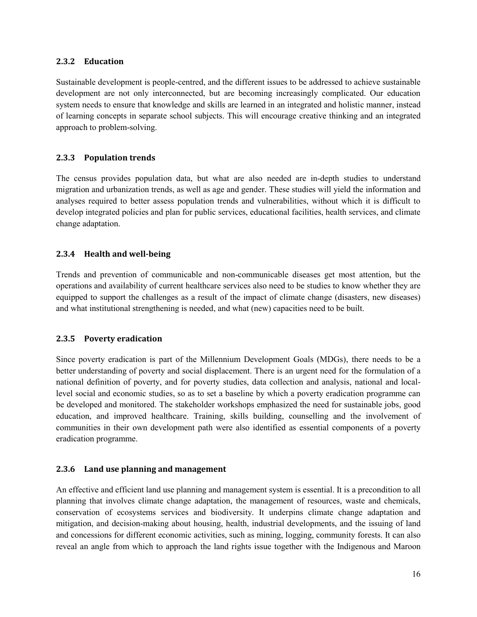#### <span id="page-23-0"></span>**2.3.2 Education**

Sustainable development is people-centred, and the different issues to be addressed to achieve sustainable development are not only interconnected, but are becoming increasingly complicated. Our education system needs to ensure that knowledge and skills are learned in an integrated and holistic manner, instead of learning concepts in separate school subjects. This will encourage creative thinking and an integrated approach to problem-solving.

#### <span id="page-23-1"></span>**2.3.3 Population trends**

The census provides population data, but what are also needed are in-depth studies to understand migration and urbanization trends, as well as age and gender. These studies will yield the information and analyses required to better assess population trends and vulnerabilities, without which it is difficult to develop integrated policies and plan for public services, educational facilities, health services, and climate change adaptation.

#### <span id="page-23-2"></span>**2.3.4 Health and well-being**

Trends and prevention of communicable and non-communicable diseases get most attention, but the operations and availability of current healthcare services also need to be studies to know whether they are equipped to support the challenges as a result of the impact of climate change (disasters, new diseases) and what institutional strengthening is needed, and what (new) capacities need to be built.

#### <span id="page-23-3"></span>**2.3.5 Poverty eradication**

Since poverty eradication is part of the Millennium Development Goals (MDGs), there needs to be a better understanding of poverty and social displacement. There is an urgent need for the formulation of a national definition of poverty, and for poverty studies, data collection and analysis, national and locallevel social and economic studies, so as to set a baseline by which a poverty eradication programme can be developed and monitored. The stakeholder workshops emphasized the need for sustainable jobs, good education, and improved healthcare. Training, skills building, counselling and the involvement of communities in their own development path were also identified as essential components of a poverty eradication programme.

#### <span id="page-23-4"></span>**2.3.6** Land use planning and management

An effective and efficient land use planning and management system is essential. It is a precondition to all planning that involves climate change adaptation, the management of resources, waste and chemicals, conservation of ecosystems services and biodiversity. It underpins climate change adaptation and mitigation, and decision-making about housing, health, industrial developments, and the issuing of land and concessions for different economic activities, such as mining, logging, community forests. It can also reveal an angle from which to approach the land rights issue together with the Indigenous and Maroon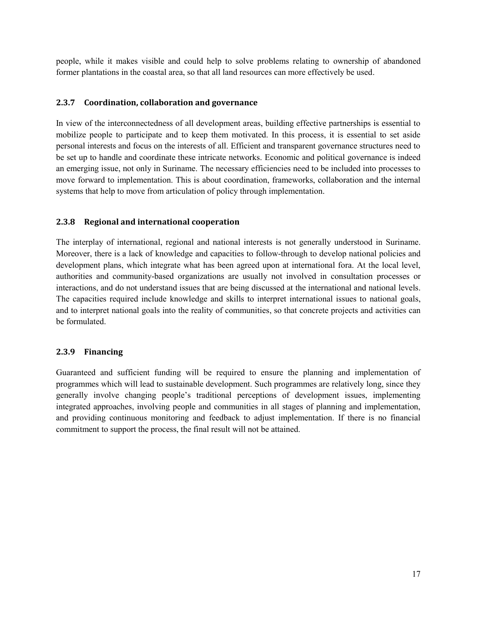people, while it makes visible and could help to solve problems relating to ownership of abandoned former plantations in the coastal area, so that all land resources can more effectively be used.

#### <span id="page-24-0"></span>**2.3.7** Coordination, collaboration and governance

In view of the interconnectedness of all development areas, building effective partnerships is essential to mobilize people to participate and to keep them motivated. In this process, it is essential to set aside personal interests and focus on the interests of all. Efficient and transparent governance structures need to be set up to handle and coordinate these intricate networks. Economic and political governance is indeed an emerging issue, not only in Suriname. The necessary efficiencies need to be included into processes to move forward to implementation. This is about coordination, frameworks, collaboration and the internal systems that help to move from articulation of policy through implementation.

#### <span id="page-24-1"></span>**2.3.8** Regional and international cooperation

The interplay of international, regional and national interests is not generally understood in Suriname. Moreover, there is a lack of knowledge and capacities to follow-through to develop national policies and development plans, which integrate what has been agreed upon at international fora. At the local level, authorities and community-based organizations are usually not involved in consultation processes or interactions, and do not understand issues that are being discussed at the international and national levels. The capacities required include knowledge and skills to interpret international issues to national goals, and to interpret national goals into the reality of communities, so that concrete projects and activities can be formulated.

#### <span id="page-24-2"></span>**2.3.9 Financing**

<span id="page-24-3"></span>Guaranteed and sufficient funding will be required to ensure the planning and implementation of programmes which will lead to sustainable development. Such programmes are relatively long, since they generally involve changing people's traditional perceptions of development issues, implementing integrated approaches, involving people and communities in all stages of planning and implementation, and providing continuous monitoring and feedback to adjust implementation. If there is no financial commitment to support the process, the final result will not be attained.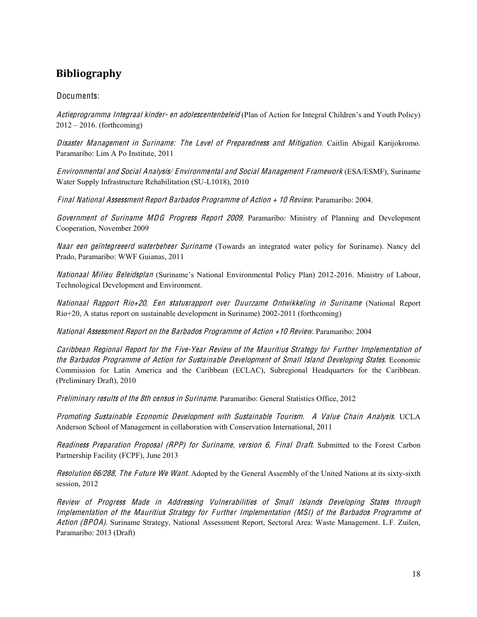# **Bibliography**

#### Documents:

Actieprogramma Integraal kinder- en adolescentenbeleid (Plan of Action for Integral Children's and Youth Policy)  $2012 - 2016$ . (forthcoming)

Disaster Management in Suriname: The Level of Preparedness and Mitigation. Caitlin Abigail Karijokromo. Paramaribo: Lim A Po Institute, 2011

Environmental and Social Analysis/ Environmental and Social Manag<sup>e</sup>men<sup>t</sup> F ramework (ESA/ESMF), Suriname Water Supply Infrastructure Rehabilitation (SU-L1018), 2010

Final National Assessment Report Barbados Programme of Action + 10 Review. Paramaribo: 2004.

Governmen<sup>t</sup> of Surinam<sup>e</sup> MDG Progress Repor<sup>t</sup> 2009. Paramaribo: Ministry of Planning and Development Cooperation, November 2009

Naar ee<sup>n</sup> geïntegreeerd waterbehee<sup>r</sup> Surinam<sup>e</sup> (Towards an integrated water policy for Suriname). Nancy del Prado, Paramaribo: WWF Guianas, 2011

Nationaal Milieu Beleidsplan (Suriname's National Environmental Policy Plan) 2012-2016. Ministry of Labour, Technological Development and Environment.

Nationaal Rappor<sup>t</sup> Rio+20, Ee<sup>n</sup> statusrappor<sup>t</sup> ove<sup>r</sup> Duurzam<sup>e</sup> Ontwikkeling in Surinam<sup>e</sup> (National Report Rio+20, A status report on sustainable development in Suriname) 2002-2011 (forthcoming)

National Assessmen<sup>t</sup> Repor<sup>t</sup> on <sup>t</sup>h<sup>e</sup> Barbado<sup>s</sup> Programm<sup>e</sup> of Action +10 Review. Paramaribo: 2004

Caribbean Regional Report for the Five-Year Review of the Mauritius Strategy for Further Implementation of <sup>t</sup>h<sup>e</sup> Barbado<sup>s</sup> Programm<sup>e</sup> of Action for Sustainabl<sup>e</sup> Dev<sup>e</sup>lopm<sup>e</sup>n<sup>t</sup> of Small Island Dev<sup>e</sup>loping States. Economic Commission for Latin America and the Caribbean (ECLAC), Subregional Headquarters for the Caribbean. (Preliminary Draft), 2010

Preliminary <sup>r</sup>esults of <sup>t</sup>h<sup>e</sup> 8th censu<sup>s</sup> in Suriname. Paramaribo: General Statistics Office, 2012

Promoting Sustainabl<sup>e</sup> Economi<sup>c</sup> Dev<sup>e</sup>lopm<sup>e</sup>n<sup>t</sup> with Sustainabl<sup>e</sup> Tourism. A Valu<sup>e</sup> Chain Analysis. UCLA Anderson School of Management in collaboration with Conservation International, 2011

Readiness Preparation Proposal (RPP) for Suriname, version 6, Final Draft. Submitted to the Forest Carbon Partnership Facility (FCPF), June 2013

Resolution 66/288, The Future We Want. Adopted by the General Assembly of the United Nations at its sixty-sixth session, 2012

Revie<sup>w</sup> of Progress Mad<sup>e</sup> in Addressing Vulnerabilitie<sup>s</sup> of Small Island<sup>s</sup> Dev<sup>e</sup>loping State<sup>s</sup> through Implementation of the Mauritius Strategy for Further Implementation (MSI) of the Barbados Programme of Action (BPOA). Suriname Strategy, National Assessment Report, Sectoral Area: Waste Management. L.F. Zuilen, Paramaribo: 2013 (Draft)